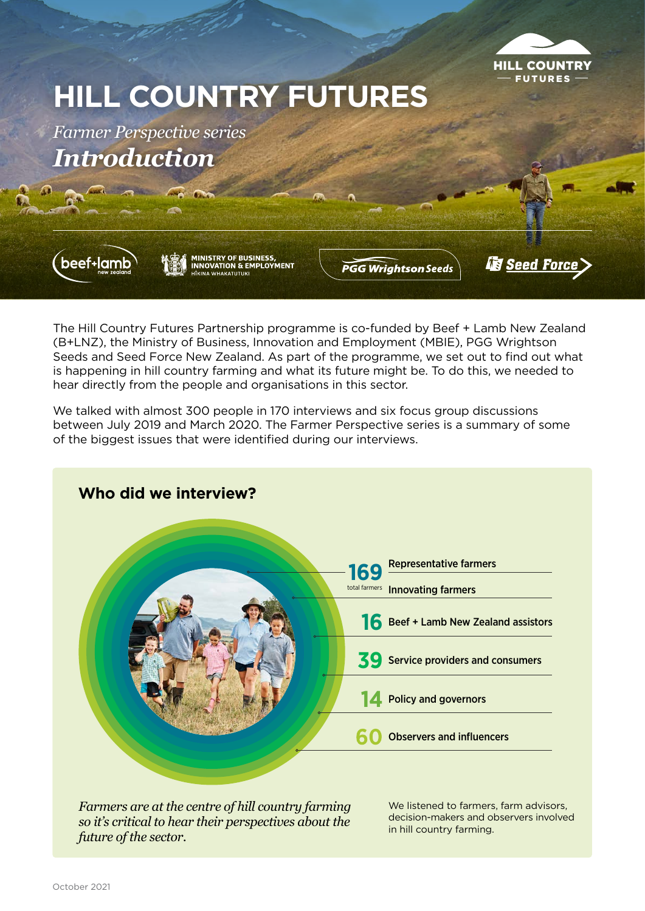

# **HILL COUNTRY FUTURES**

*Farmer Perspective series Introduction*



MINISTRY OF BUSINESS,<br>INNOVATION & EMPLOYMENT

**PGG Wrightson Seeds** 

**Essed Force** 

The Hill Country Futures Partnership programme is co-funded by Beef + Lamb New Zealand (B+LNZ), the Ministry of Business, Innovation and Employment (MBIE), PGG Wrightson Seeds and Seed Force New Zealand. As part of the programme, we set out to find out what is happening in hill country farming and what its future might be. To do this, we needed to hear directly from the people and organisations in this sector.

We talked with almost 300 people in 170 interviews and six focus group discussions between July 2019 and March 2020. The Farmer Perspective series is a summary of some of the biggest issues that were identified during our interviews.



*Farmers are at the centre of hill country farming so it's critical to hear their perspectives about the future of the sector.*

We listened to farmers, farm advisors, decision-makers and observers involved in hill country farming.